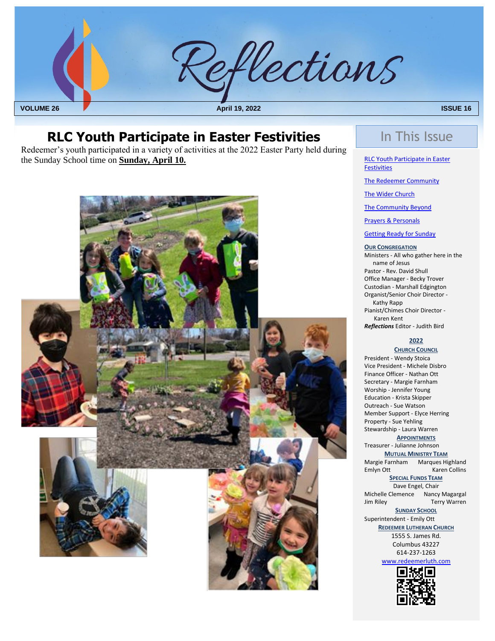

## **RLC Youth Participate in Easter Festivities** In This Issue

 Redeemer's youth participated in a variety of activities at the 2022 Easter Party held during the Sunday School time on **Sunday, April 10.**



RLC Youth Participate in Easter **Festivities** 

[The Redeemer Community](#page-1-0)

[The Wider Church](#page-5-0)

[The Community Beyond](#page-5-0)

[Prayers & Personals](#page-4-0)

[Getting Ready for Sunday](#page-0-0)

#### **OUR CONGREGATION**

Ministers - All who gather here in the name of Jesus Pastor - Rev. David Shull Office Manager - Becky Trover Custodian - Marshall Edgington Organist/Senior Choir Director - Kathy Rapp Pianist/Chimes Choir Director - Karen Kent *Reflections* Editor - Judith Bird

#### **2022**

**CHURCH COUNCIL**

President - Wendy Stoica Vice President - Michele Disbro Finance Officer - Nathan Ott Secretary - Margie Farnham Worship - Jennifer Young Education - Krista Skipper Outreach - Sue Watson Member Support - Elyce Herring Property - Sue Yehling Stewardship - Laura Warren **APPOINTMENTS** Treasurer - Julianne Johnson **MUTUAL MINISTRY TEAM**<br>Margie Farnham Marques Hig Marques Highland Emlyn Ott Karen Collins **SPECIAL FUNDS TEAM** Dave Engel, Chair Michelle Clemence Nancy Magargal<br>Jim Riley Terry Warren Terry Warren **SUNDAY SCHOOL** Superintendent - Emily Ott

<span id="page-0-0"></span>**REDEEMER LUTHERAN CHURCH**

1555 S. James Rd. Columbus 43227 614-237-1263

[www.redeemerluth.com](http://www.redeemerluth.com/)

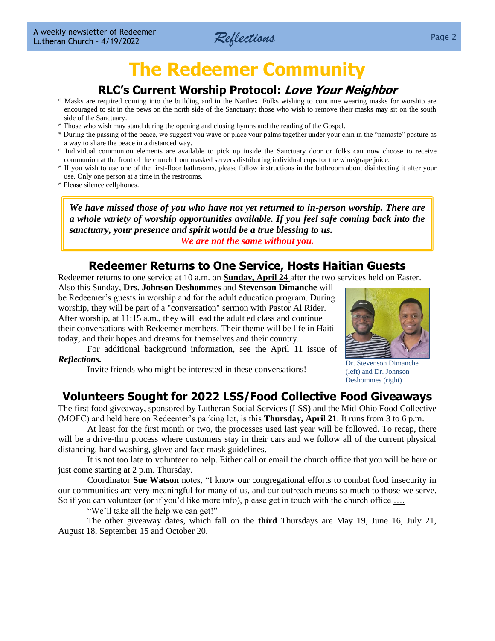

# **The Redeemer Community**

## **RLC's Current Worship Protocol: Love Your Neighbor**

- <span id="page-1-0"></span>\* Masks are required coming into the building and in the Narthex. Folks wishing to continue wearing masks for worship are encouraged to sit in the pews on the north side of the Sanctuary; those who wish to remove their masks may sit on the south side of the Sanctuary.
- \* Those who wish may stand during the opening and closing hymns and the reading of the Gospel.
- \* During the passing of the peace, we suggest you wave or place your palms together under your chin in the "namaste" posture as a way to share the peace in a distanced way.
- \* Individual communion elements are available to pick up inside the Sanctuary door or folks can now choose to receive communion at the front of the church from masked servers distributing individual cups for the wine/grape juice.
- \* If you wish to use one of the first-floor bathrooms, please follow instructions in the bathroom about disinfecting it after your use. Only one person at a time in the restrooms.
- \* Please silence cellphones.

*We have missed those of you who have not yet returned to in-person worship. There are a whole variety of worship opportunities available. If you feel safe coming back into the sanctuary, your presence and spirit would be a true blessing to us. We are not the same without you.*

### **Redeemer Returns to One Service, Hosts Haitian Guests**

Redeemer returns to one service at 10 a.m. on **Sunday, April 24** after the two services held on Easter.

Also this Sunday, **Drs. Johnson Deshommes** and **Stevenson Dimanche** will be Redeemer's guests in worship and for the adult education program. During worship, they will be part of a "conversation" sermon with Pastor Al Rider. After worship, at 11:15 a.m., they will lead the adult ed class and continue their conversations with Redeemer members. Their theme will be life in Haiti today, and their hopes and dreams for themselves and their country.

For additional background information, see the April 11 issue of *Reflections.*

Invite friends who might be interested in these conversations!



Dr. Stevenson Dimanche (left) and Dr. Johnson Deshommes (right)

## **Volunteers Sought for 2022 LSS/Food Collective Food Giveaways**

The first food giveaway, sponsored by Lutheran Social Services (LSS) and the Mid-Ohio Food Collective (MOFC) and held here on Redeemer's parking lot, is this **Thursday, April 21**. It runs from 3 to 6 p.m.

At least for the first month or two, the processes used last year will be followed. To recap, there will be a drive-thru process where customers stay in their cars and we follow all of the current physical distancing, hand washing, glove and face mask guidelines.

It is not too late to volunteer to help. Either call or email the church office that you will be here or just come starting at 2 p.m. Thursday.

Coordinator **Sue Watson** notes, "I know our congregational efforts to combat food insecurity in our communities are very meaningful for many of us, and our outreach means so much to those we serve. So if you can volunteer (or if you'd like more info), please get in touch with the church office ….

"We'll take all the help we can get!"

The other giveaway dates, which fall on the **third** Thursdays are May 19, June 16, July 21, August 18, September 15 and October 20.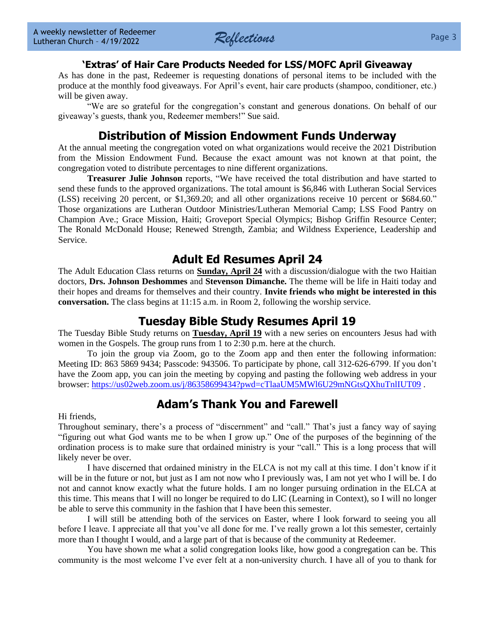

#### **'Extras' of Hair Care Products Needed for LSS/MOFC April Giveaway**

As has done in the past, Redeemer is requesting donations of personal items to be included with the produce at the monthly food giveaways. For April's event, hair care products (shampoo, conditioner, etc.) will be given away.

"We are so grateful for the congregation's constant and generous donations. On behalf of our giveaway's guests, thank you, Redeemer members!" Sue said.

## **Distribution of Mission Endowment Funds Underway**

At the annual meeting the congregation voted on what organizations would receive the 2021 Distribution from the Mission Endowment Fund. Because the exact amount was not known at that point, the congregation voted to distribute percentages to nine different organizations.

**Treasurer Julie Johnson** reports, "We have received the total distribution and have started to send these funds to the approved organizations. The total amount is \$6,846 with Lutheran Social Services (LSS) receiving 20 percent, or \$1,369.20; and all other organizations receive 10 percent or \$684.60." Those organizations are Lutheran Outdoor Ministries/Lutheran Memorial Camp; LSS Food Pantry on Champion Ave.; Grace Mission, Haiti; Groveport Special Olympics; Bishop Griffin Resource Center; The Ronald McDonald House; Renewed Strength, Zambia; and Wildness Experience, Leadership and Service.

## **Adult Ed Resumes April 24**

The Adult Education Class returns on **Sunday, April 24** with a discussion/dialogue with the two Haitian doctors, **Drs. Johnson Deshommes** and **Stevenson Dimanche.** The theme will be life in Haiti today and their hopes and dreams for themselves and their country. **Invite friends who might be interested in this conversation.** The class begins at 11:15 a.m. in Room 2, following the worship service.

## **Tuesday Bible Study Resumes April 19**

The Tuesday Bible Study returns on **Tuesday, April 19** with a new series on encounters Jesus had with women in the Gospels. The group runs from 1 to 2:30 p.m. here at the church.

To join the group via Zoom, go to the Zoom app and then enter the following information: Meeting ID: 863 5869 9434; Passcode: 943506. To participate by phone, call 312-626-6799. If you don't have the Zoom app, you can join the meeting by copying and pasting the following web address in your browser:<https://us02web.zoom.us/j/86358699434?pwd=cTlaaUM5MWl6U29mNGtsQXhuTnlIUT09> .

## **Adam's Thank You and Farewell**

Hi friends,

Throughout seminary, there's a process of "discernment" and "call." That's just a fancy way of saying "figuring out what God wants me to be when I grow up." One of the purposes of the beginning of the ordination process is to make sure that ordained ministry is your "call." This is a long process that will likely never be over.

I have discerned that ordained ministry in the ELCA is not my call at this time. I don't know if it will be in the future or not, but just as I am not now who I previously was, I am not yet who I will be. I do not and cannot know exactly what the future holds. I am no longer pursuing ordination in the ELCA at this time. This means that I will no longer be required to do LIC (Learning in Context), so I will no longer be able to serve this community in the fashion that I have been this semester.

I will still be attending both of the services on Easter, where I look forward to seeing you all before I leave. I appreciate all that you've all done for me. I've really grown a lot this semester, certainly more than I thought I would, and a large part of that is because of the community at Redeemer.

You have shown me what a solid congregation looks like, how good a congregation can be. This community is the most welcome I've ever felt at a non-university church. I have all of you to thank for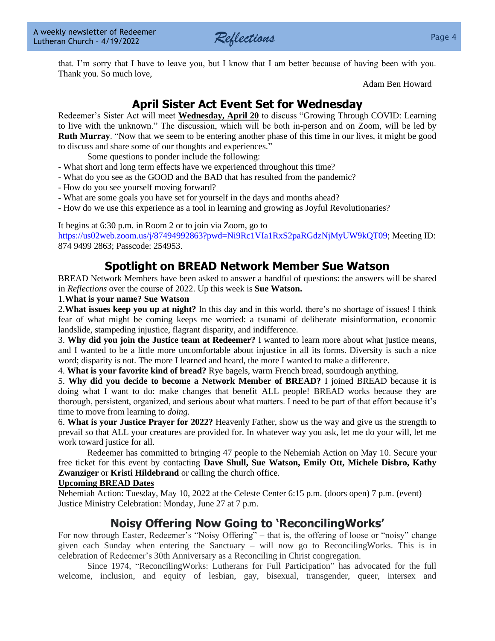

that. I'm sorry that I have to leave you, but I know that I am better because of having been with you. Thank you. So much love,

Adam Ben Howard

## **April Sister Act Event Set for Wednesday**

Redeemer's Sister Act will meet **Wednesday, April 20** to discuss "Growing Through COVID: Learning to live with the unknown." The discussion, which will be both in-person and on Zoom, will be led by **Ruth Murray.** "Now that we seem to be entering another phase of this time in our lives, it might be good to discuss and share some of our thoughts and experiences."

Some questions to ponder include the following:

- What short and long term effects have we experienced throughout this time?
- What do you see as the GOOD and the BAD that has resulted from the pandemic?
- How do you see yourself moving forward?
- What are some goals you have set for yourself in the days and months ahead?
- How do we use this experience as a tool in learning and growing as Joyful Revolutionaries?

It begins at 6:30 p.m. in Room 2 or to join via Zoom, go to

[https://us02web.zoom.us/j/87494992863?pwd=Ni9Rc1VIa1RxS2paRGdzNjMyUW9kQT09;](https://us02web.zoom.us/j/87494992863?pwd=Ni9Rc1VIa1RxS2paRGdzNjMyUW9kQT09) Meeting ID: 874 9499 2863; Passcode: 254953.

## **Spotlight on BREAD Network Member Sue Watson**

BREAD Network Members have been asked to answer a handful of questions: the answers will be shared in *Reflections* over the course of 2022. Up this week is **Sue Watson.**

1.**What is your name? Sue Watson**

2.**What issues keep you up at night?** In this day and in this world, there's no shortage of issues! I think fear of what might be coming keeps me worried: a tsunami of deliberate misinformation, economic landslide, stampeding injustice, flagrant disparity, and indifference.

3. **Why did you join the Justice team at Redeemer?** I wanted to learn more about what justice means, and I wanted to be a little more uncomfortable about injustice in all its forms. Diversity is such a nice word; disparity is not. The more I learned and heard, the more I wanted to make a difference.

4. **What is your favorite kind of bread?** Rye bagels, warm French bread, sourdough anything.

5. **Why did you decide to become a Network Member of BREAD?** I joined BREAD because it is doing what I want to do: make changes that benefit ALL people! BREAD works because they are thorough, persistent, organized, and serious about what matters. I need to be part of that effort because it's time to move from learning to *doing.*

6. **What is your Justice Prayer for 2022?** Heavenly Father, show us the way and give us the strength to prevail so that ALL your creatures are provided for. In whatever way you ask, let me do your will, let me work toward justice for all.

Redeemer has committed to bringing 47 people to the Nehemiah Action on May 10. Secure your free ticket for this event by contacting **Dave Shull, Sue Watson, Emily Ott, Michele Disbro, Kathy Zwanziger** or **Kristi Hildebrand** or calling the church office.

#### **Upcoming BREAD Dates**

Nehemiah Action: Tuesday, May 10, 2022 at the Celeste Center 6:15 p.m. (doors open) 7 p.m. (event) Justice Ministry Celebration: Monday, June 27 at 7 p.m.

## **Noisy Offering Now Going to 'ReconcilingWorks'**

For now through Easter, Redeemer's "Noisy Offering" – that is, the offering of loose or "noisy" change given each Sunday when entering the Sanctuary – will now go to ReconcilingWorks. This is in celebration of Redeemer's 30th Anniversary as a Reconciling in Christ congregation.

Since 1974, "ReconcilingWorks: Lutherans for Full Participation" has advocated for the full welcome, inclusion, and equity of lesbian, gay, bisexual, transgender, queer, intersex and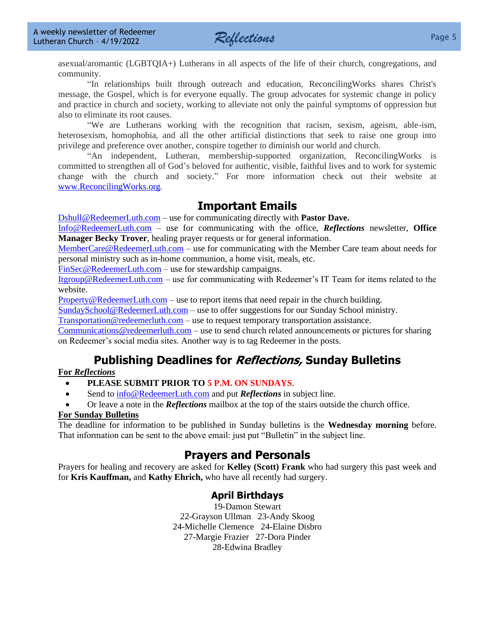

asexual/aromantic (LGBTQIA+) Lutherans in all aspects of the life of their church, congregations, and community.

"In relationships built through outreach and education, ReconcilingWorks shares Christ's message, the Gospel, which is for everyone equally. The group advocates for systemic change in policy and practice in church and society, working to alleviate not only the painful symptoms of oppression but also to eliminate its root causes.

"We are Lutherans working with the recognition that racism, sexism, ageism, able-ism, heterosexism, homophobia, and all the other artificial distinctions that seek to raise one group into privilege and preference over another, conspire together to diminish our world and church.

"An independent, Lutheran, membership-supported organization, ReconcilingWorks is committed to strengthen all of God's beloved for authentic, visible, faithful lives and to work for systemic change with the church and society." For more information check out their website at [www.ReconcilingWorks.org.](http://www.reconcilingworks.org/)

## **Important Emails**

[Dshull@RedeemerLuth.com](mailto:DShull@RedeemerLuth.com) – use for communicating directly with **Pastor Dave.**

[Info@RedeemerLuth.com](mailto:Info@RedeemerLuth.com) – use for communicating with the office, *Reflections* newsletter, **Office Manager Becky Trover**, healing prayer requests or for general information.

[MemberCare@RedeemerLuth.com](mailto:MemberCare@RedeemerLuth.com) – use for communicating with the Member Care team about needs for personal ministry such as in-home communion, a home visit, meals, etc.

[FinSec@RedeemerLuth.com](mailto:FinSec@RedeemerLuth.com) – use for stewardship campaigns.

[Itgroup@RedeemerLuth.com](mailto:ITgroup@RedeemerLuth.com) – use for communicating with Redeemer's IT Team for items related to the website.

[Property@RedeemerLuth.com](mailto:Property@RedeemerLuth.com) – use to report items that need repair in the church building.

[SundaySchool@RedeemerLuth.com](mailto:SundaySchool@RedeemerLuth.com) – use to offer suggestions for our Sunday School ministry.

[Transportation@redeemerluth.com](mailto:Transportation@redeemerluth.com) – use to request temporary transportation assistance.

[Communications@redeemerluth.com](mailto:Communications@redeemerluth.com) – use to send church related announcements or pictures for sharing on Redeemer's social media sites. Another way is to tag Redeemer in the posts.

## **Publishing Deadlines for Reflections, Sunday Bulletins**

#### **For** *Reflections*

#### • **PLEASE SUBMIT PRIOR TO 5 P.M. ON SUNDAYS**.

- Send to  $info@RedeemerLuth.com$  and put *Reflections* in subject line.
- Or leave a note in the *Reflections* mailbox at the top of the stairs outside the church office.

#### **For Sunday Bulletins**

The deadline for information to be published in Sunday bulletins is the **Wednesday morning** before. That information can be sent to the above email: just put "Bulletin" in the subject line.

## **Prayers and Personals**

Prayers for healing and recovery are asked for **Kelley (Scott) Frank** who had surgery this past week and for **Kris Kauffman,** and **Kathy Ehrich,** who have all recently had surgery.

### <span id="page-4-0"></span>**April Birthdays**

19-Damon Stewart 22-Grayson Ullman 23-Andy Skoog 24-Michelle Clemence 24-Elaine Disbro 27-Margie Frazier 27-Dora Pinder 28-Edwina Bradley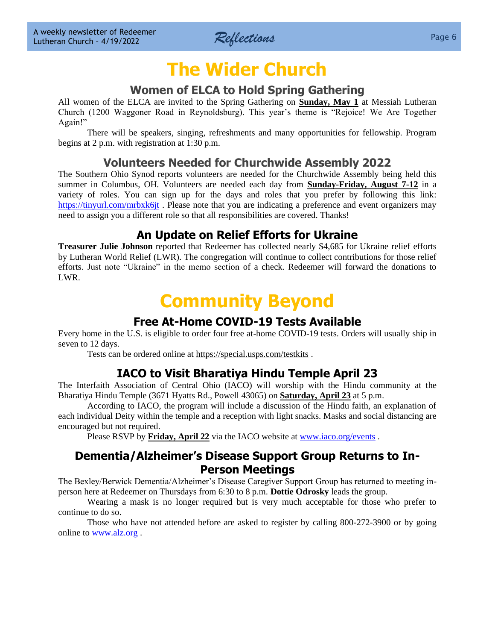

# **The Wider Church**

## **Women of ELCA to Hold Spring Gathering**

<span id="page-5-0"></span>All women of the ELCA are invited to the Spring Gathering on **Sunday, May 1** at Messiah Lutheran Church (1200 Waggoner Road in Reynoldsburg). This year's theme is "Rejoice! We Are Together Again!"

There will be speakers, singing, refreshments and many opportunities for fellowship. Program begins at 2 p.m. with registration at 1:30 p.m.

## **Volunteers Needed for Churchwide Assembly 2022**

The Southern Ohio Synod reports volunteers are needed for the Churchwide Assembly being held this summer in Columbus, OH. Volunteers are needed each day from **Sunday-Friday, August 7-12** in a variety of roles. You can sign up for the days and roles that you prefer by following this link: <https://tinyurl.com/mrbxk6jt>. Please note that you are indicating a preference and event organizers may need to assign you a different role so that all responsibilities are covered. Thanks!

## **An Update on Relief Efforts for Ukraine**

**Treasurer Julie Johnson** reported that Redeemer has collected nearly \$4,685 for Ukraine relief efforts by Lutheran World Relief (LWR). The congregation will continue to collect contributions for those relief efforts. Just note "Ukraine" in the memo section of a check. Redeemer will forward the donations to LWR.

# **Community Beyond**

## **Free At-Home COVID-19 Tests Available**

Every home in the U.S. is eligible to order four free at-home COVID-19 tests. Orders will usually ship in seven to 12 days.

Tests can be ordered online at<https://special.usps.com/testkits> .

## **IACO to Visit Bharatiya Hindu Temple April 23**

The Interfaith Association of Central Ohio (IACO) will worship with the Hindu community at the Bharatiya Hindu Temple (3671 Hyatts Rd., Powell 43065) on **Saturday, April 23** at 5 p.m.

According to IACO, the program will include a discussion of the Hindu faith, an explanation of each individual Deity within the temple and a reception with light snacks. Masks and social distancing are encouraged but not required.

Please RSVP by **Friday, April 22** via the IACO website a[t www.iaco.org/events](http://www.iaco.org/events).

## **Dementia/Alzheimer's Disease Support Group Returns to In-Person Meetings**

The Bexley/Berwick Dementia/Alzheimer's Disease Caregiver Support Group has returned to meeting inperson here at Redeemer on Thursdays from 6:30 to 8 p.m. **Dottie Odrosky** leads the group.

Wearing a mask is no longer required but is very much acceptable for those who prefer to continue to do so.

Those who have not attended before are asked to register by calling 800-272-3900 or by going online to [www.alz.org](http://www.alz.org/) .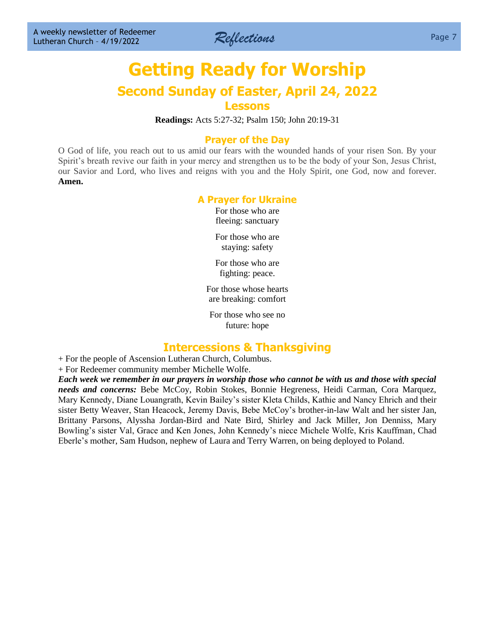

## **[Getting Ready for W](file:///D:/Users/Marcene%20Mounts/Documents/2019%20REFLECTIONS/Vol.%2023-49%2012-9-2019%20Draft.docx%23GettingReadyforSunday)orship Second Sunday of Easter, April 24, 2022 Lessons**

**Readings:** Acts 5:27-32; Psalm 150; John 20:19-31

#### **Prayer of the Day**

O God of life, you reach out to us amid our fears with the wounded hands of your risen Son. By your Spirit's breath revive our faith in your mercy and strengthen us to be the body of your Son, Jesus Christ, our Savior and Lord, who lives and reigns with you and the Holy Spirit, one God, now and forever. **Amen.**

#### **A Prayer for Ukraine**

For those who are fleeing: sanctuary

For those who are staying: safety

For those who are fighting: peace.

For those whose hearts are breaking: comfort

For those who see no future: hope

#### **Intercessions & Thanksgiving**

+ For the people of Ascension Lutheran Church, Columbus.

+ For Redeemer community member Michelle Wolfe.

*Each week we remember in our prayers in worship those who cannot be with us and those with special needs and concerns:* Bebe McCoy, Robin Stokes, Bonnie Hegreness, Heidi Carman, Cora Marquez, Mary Kennedy, Diane Louangrath, Kevin Bailey's sister Kleta Childs, Kathie and Nancy Ehrich and their sister Betty Weaver, Stan Heacock, Jeremy Davis, Bebe McCoy's brother-in-law Walt and her sister Jan, Brittany Parsons, Alyssha Jordan-Bird and Nate Bird, Shirley and Jack Miller, Jon Denniss, Mary Bowling's sister Val, Grace and Ken Jones, John Kennedy's niece Michele Wolfe, Kris Kauffman, Chad Eberle's mother, Sam Hudson, nephew of Laura and Terry Warren, on being deployed to Poland.